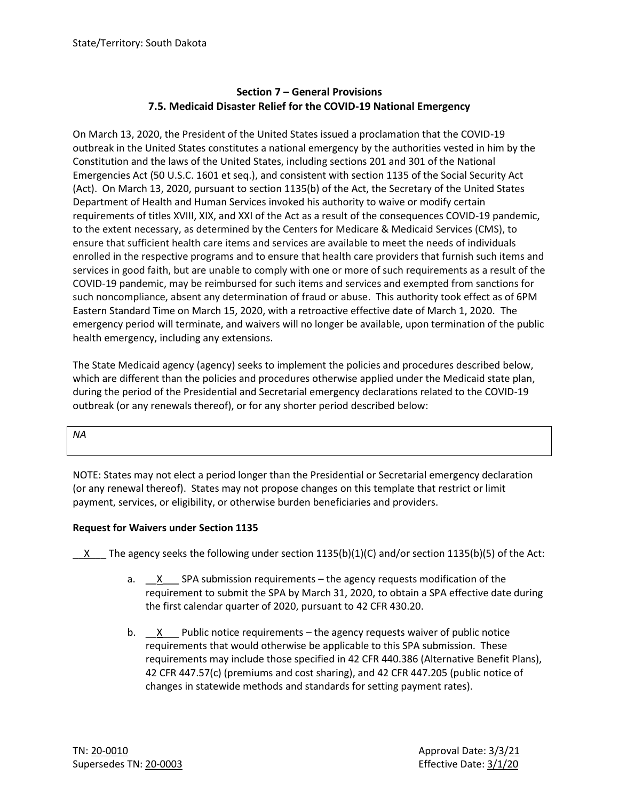# **Section 7 – General Provisions 7.5. Medicaid Disaster Relief for the COVID-19 National Emergency**

On March 13, 2020, the President of the United States issued a proclamation that the COVID-19 outbreak in the United States constitutes a national emergency by the authorities vested in him by the Constitution and the laws of the United States, including sections 201 and 301 of the National Emergencies Act (50 U.S.C. 1601 et seq.), and consistent with section 1135 of the Social Security Act (Act). On March 13, 2020, pursuant to section 1135(b) of the Act, the Secretary of the United States Department of Health and Human Services invoked his authority to waive or modify certain requirements of titles XVIII, XIX, and XXI of the Act as a result of the consequences COVID-19 pandemic, to the extent necessary, as determined by the Centers for Medicare & Medicaid Services (CMS), to ensure that sufficient health care items and services are available to meet the needs of individuals enrolled in the respective programs and to ensure that health care providers that furnish such items and services in good faith, but are unable to comply with one or more of such requirements as a result of the COVID-19 pandemic, may be reimbursed for such items and services and exempted from sanctions for such noncompliance, absent any determination of fraud or abuse. This authority took effect as of 6PM Eastern Standard Time on March 15, 2020, with a retroactive effective date of March 1, 2020. The emergency period will terminate, and waivers will no longer be available, upon termination of the public health emergency, including any extensions.

The State Medicaid agency (agency) seeks to implement the policies and procedures described below, which are different than the policies and procedures otherwise applied under the Medicaid state plan, during the period of the Presidential and Secretarial emergency declarations related to the COVID-19 outbreak (or any renewals thereof), or for any shorter period described below:

*NA*

NOTE: States may not elect a period longer than the Presidential or Secretarial emergency declaration (or any renewal thereof). States may not propose changes on this template that restrict or limit payment, services, or eligibility, or otherwise burden beneficiaries and providers.

# **Request for Waivers under Section 1135**

X The agency seeks the following under section 1135(b)(1)(C) and/or section 1135(b)(5) of the Act:

- a.  $X$  SPA submission requirements the agency requests modification of the requirement to submit the SPA by March 31, 2020, to obtain a SPA effective date during the first calendar quarter of 2020, pursuant to 42 CFR 430.20.
- b.  $X$  Public notice requirements the agency requests waiver of public notice requirements that would otherwise be applicable to this SPA submission. These requirements may include those specified in 42 CFR 440.386 (Alternative Benefit Plans), 42 CFR 447.57(c) (premiums and cost sharing), and 42 CFR 447.205 (public notice of changes in statewide methods and standards for setting payment rates).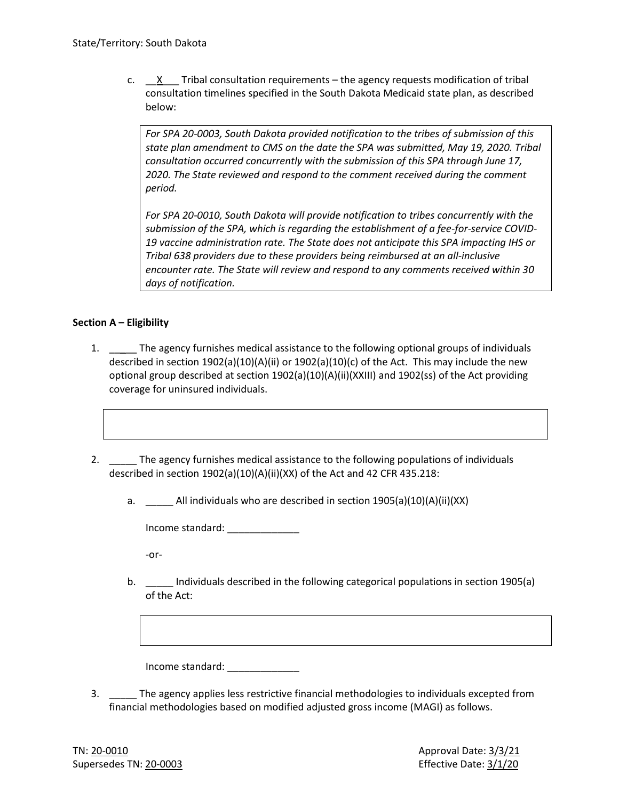c.  $X$  Tribal consultation requirements – the agency requests modification of tribal consultation timelines specified in the South Dakota Medicaid state plan, as described below:

*For SPA 20-0003, South Dakota provided notification to the tribes of submission of this state plan amendment to CMS on the date the SPA was submitted, May 19, 2020. Tribal consultation occurred concurrently with the submission of this SPA through June 17, 2020. The State reviewed and respond to the comment received during the comment period.* 

*For SPA 20-0010, South Dakota will provide notification to tribes concurrently with the submission of the SPA, which is regarding the establishment of a fee-for-service COVID-19 vaccine administration rate. The State does not anticipate this SPA impacting IHS or Tribal 638 providers due to these providers being reimbursed at an all-inclusive encounter rate. The State will review and respond to any comments received within 30 days of notification.* 

## **Section A – Eligibility**

- 1. The agency furnishes medical assistance to the following optional groups of individuals described in section 1902(a)(10)(A)(ii) or 1902(a)(10)(c) of the Act. This may include the new optional group described at section 1902(a)(10)(A)(ii)(XXIII) and 1902(ss) of the Act providing coverage for uninsured individuals.
- 2. \_\_\_\_\_\_ The agency furnishes medical assistance to the following populations of individuals described in section 1902(a)(10)(A)(ii)(XX) of the Act and 42 CFR 435.218:
	- a. All individuals who are described in section 1905(a)(10)(A)(ii)(XX)

Income standard: \_\_\_\_\_\_\_\_\_\_\_\_\_

-or-

b. \_\_\_\_\_ Individuals described in the following categorical populations in section 1905(a) of the Act:

Income standard:

3. \_\_\_\_\_ The agency applies less restrictive financial methodologies to individuals excepted from financial methodologies based on modified adjusted gross income (MAGI) as follows.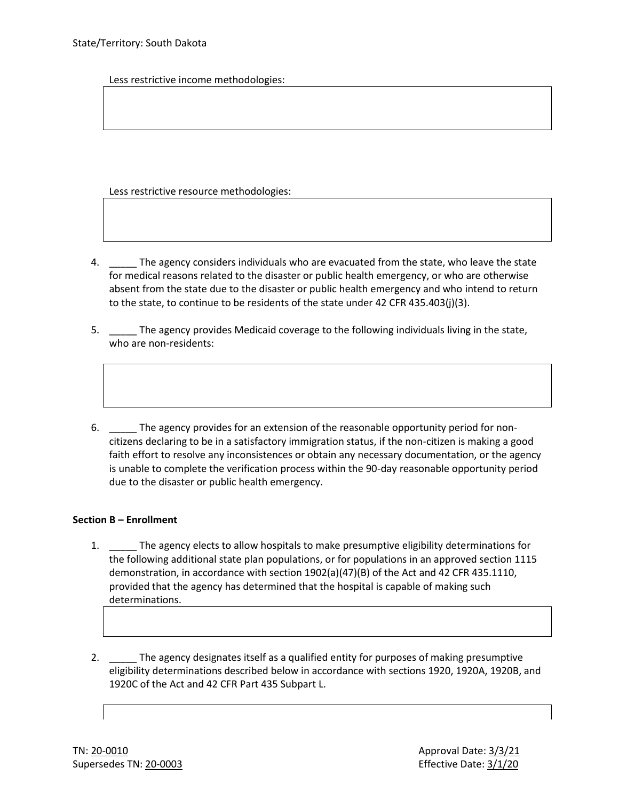Less restrictive income methodologies:

Less restrictive resource methodologies:

- 4. \_\_\_\_\_ The agency considers individuals who are evacuated from the state, who leave the state for medical reasons related to the disaster or public health emergency, or who are otherwise absent from the state due to the disaster or public health emergency and who intend to return to the state, to continue to be residents of the state under 42 CFR 435.403(j)(3).
- 5. \_\_\_\_\_ The agency provides Medicaid coverage to the following individuals living in the state, who are non-residents:
- 6. \_\_\_\_\_ The agency provides for an extension of the reasonable opportunity period for noncitizens declaring to be in a satisfactory immigration status, if the non-citizen is making a good faith effort to resolve any inconsistences or obtain any necessary documentation, or the agency is unable to complete the verification process within the 90-day reasonable opportunity period due to the disaster or public health emergency.

### **Section B – Enrollment**

- 1. \_\_\_\_\_ The agency elects to allow hospitals to make presumptive eligibility determinations for the following additional state plan populations, or for populations in an approved section 1115 demonstration, in accordance with section 1902(a)(47)(B) of the Act and 42 CFR 435.1110, provided that the agency has determined that the hospital is capable of making such determinations.
- 2. \_\_\_\_\_ The agency designates itself as a qualified entity for purposes of making presumptive eligibility determinations described below in accordance with sections 1920, 1920A, 1920B, and 1920C of the Act and 42 CFR Part 435 Subpart L.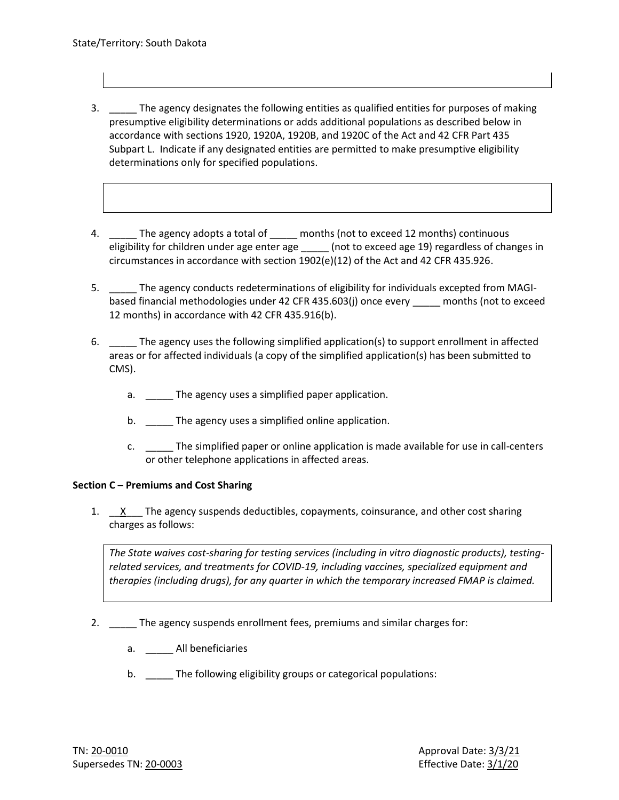- 3. \_\_\_\_\_ The agency designates the following entities as qualified entities for purposes of making presumptive eligibility determinations or adds additional populations as described below in accordance with sections 1920, 1920A, 1920B, and 1920C of the Act and 42 CFR Part 435 Subpart L. Indicate if any designated entities are permitted to make presumptive eligibility determinations only for specified populations.
- 4. \_\_\_\_\_ The agency adopts a total of \_\_\_\_\_ months (not to exceed 12 months) continuous eligibility for children under age enter age \_\_\_\_\_ (not to exceed age 19) regardless of changes in circumstances in accordance with section 1902(e)(12) of the Act and 42 CFR 435.926.
- 5. \_\_\_\_\_ The agency conducts redeterminations of eligibility for individuals excepted from MAGIbased financial methodologies under 42 CFR 435.603(j) once every \_\_\_\_\_ months (not to exceed 12 months) in accordance with 42 CFR 435.916(b).
- 6. \_\_\_\_\_ The agency uses the following simplified application(s) to support enrollment in affected areas or for affected individuals (a copy of the simplified application(s) has been submitted to CMS).
	- a. The agency uses a simplified paper application.
	- b. \_\_\_\_\_\_ The agency uses a simplified online application.
	- c. \_\_\_\_\_ The simplified paper or online application is made available for use in call-centers or other telephone applications in affected areas.

# **Section C – Premiums and Cost Sharing**

1. X The agency suspends deductibles, copayments, coinsurance, and other cost sharing charges as follows:

*The State waives cost-sharing for testing services (including in vitro diagnostic products), testingrelated services, and treatments for COVID-19, including vaccines, specialized equipment and therapies (including drugs), for any quarter in which the temporary increased FMAP is claimed.*

- 2. The agency suspends enrollment fees, premiums and similar charges for:
	- a. \_\_\_\_\_ All beneficiaries
	- b. \_\_\_\_\_ The following eligibility groups or categorical populations: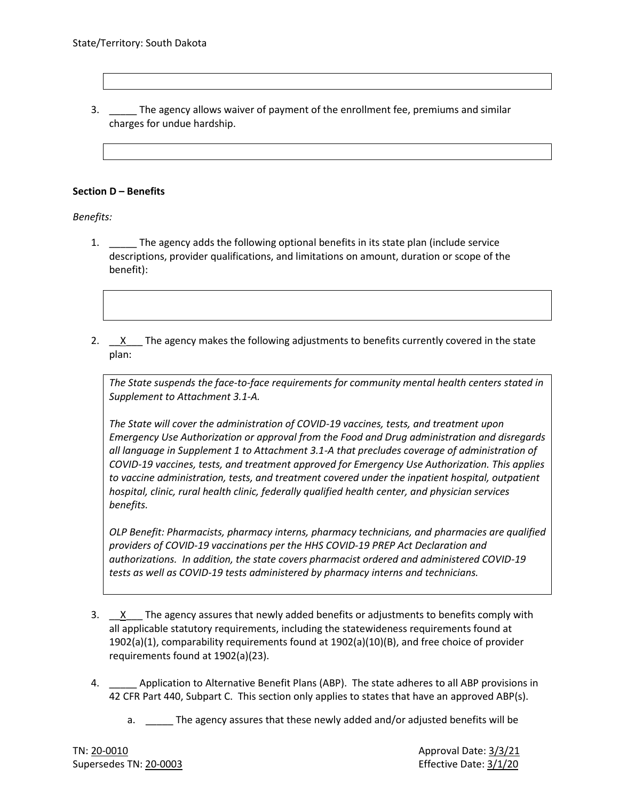3. \_\_\_\_\_ The agency allows waiver of payment of the enrollment fee, premiums and similar charges for undue hardship.

### **Section D – Benefits**

*Benefits:*

- 1. \_\_\_\_\_ The agency adds the following optional benefits in its state plan (include service descriptions, provider qualifications, and limitations on amount, duration or scope of the benefit):
- 2. Ex The agency makes the following adjustments to benefits currently covered in the state plan:

*The State suspends the face-to-face requirements for community mental health centers stated in Supplement to Attachment 3.1-A.*

*The State will cover the administration of COVID-19 vaccines, tests, and treatment upon Emergency Use Authorization or approval from the Food and Drug administration and disregards all language in Supplement 1 to Attachment 3.1-A that precludes coverage of administration of COVID-19 vaccines, tests, and treatment approved for Emergency Use Authorization. This applies to vaccine administration, tests, and treatment covered under the inpatient hospital, outpatient hospital, clinic, rural health clinic, federally qualified health center, and physician services benefits.*

*OLP Benefit: Pharmacists, pharmacy interns, pharmacy technicians, and pharmacies are qualified providers of COVID-19 vaccinations per the HHS COVID-19 PREP Act Declaration and authorizations. In addition, the state covers pharmacist ordered and administered COVID-19 tests as well as COVID-19 tests administered by pharmacy interns and technicians.*

- 3. X The agency assures that newly added benefits or adjustments to benefits comply with all applicable statutory requirements, including the statewideness requirements found at 1902(a)(1), comparability requirements found at 1902(a)(10)(B), and free choice of provider requirements found at 1902(a)(23).
- 4. \_\_\_\_\_ Application to Alternative Benefit Plans (ABP). The state adheres to all ABP provisions in 42 CFR Part 440, Subpart C. This section only applies to states that have an approved ABP(s).
	- a. \_\_\_\_\_ The agency assures that these newly added and/or adjusted benefits will be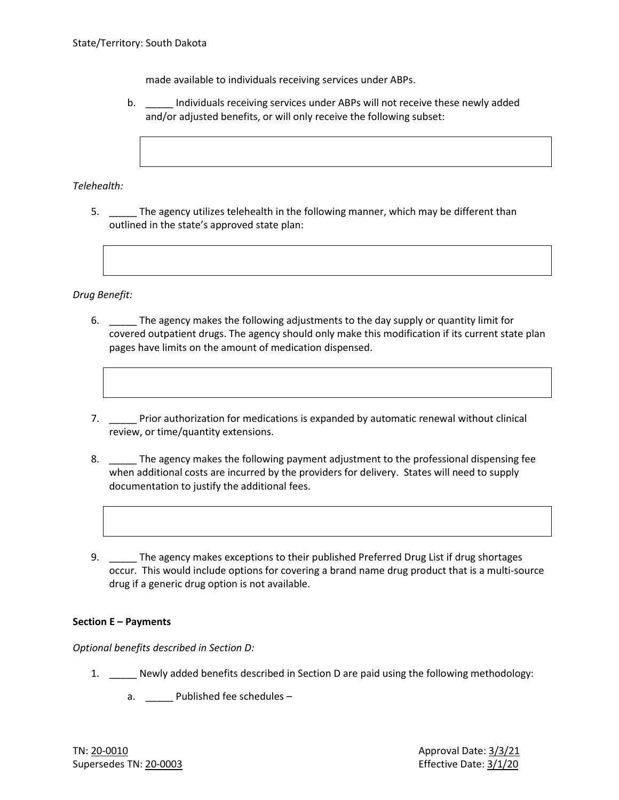made available to individuals receiving services under ABPs.

b. \_\_\_\_\_ Individuals receiving services under ABPs will not receive these newly added and/or adjusted benefits, or will only receive the following subset:

*Telehealth:*

5. \_\_\_\_\_ The agency utilizes telehealth in the following manner, which may be different than outlined in the state's approved state plan:

*Drug Benefit:*

- 6. \_\_\_\_\_ The agency makes the following adjustments to the day supply or quantity limit for covered outpatient drugs. The agency should only make this modification if its current state plan pages have limits on the amount of medication dispensed.
- 7. \_\_\_\_\_ Prior authorization for medications is expanded by automatic renewal without clinical review, or time/quantity extensions.
- 8. \_\_\_\_\_\_ The agency makes the following payment adjustment to the professional dispensing fee when additional costs are incurred by the providers for delivery. States will need to supply documentation to justify the additional fees.
- 9. The agency makes exceptions to their published Preferred Drug List if drug shortages occur. This would include options for covering a brand name drug product that is a multi-source drug if a generic drug option is not available.

### **Section E – Payments**

*Optional benefits described in Section D:*

- 1. Newly added benefits described in Section D are paid using the following methodology:
	- a. \_\_\_\_\_ Published fee schedules –

TN: 20-0010 Approval Date: 3/3/21 Supersedes TN: 20-0003 Effective Date: 3/1/20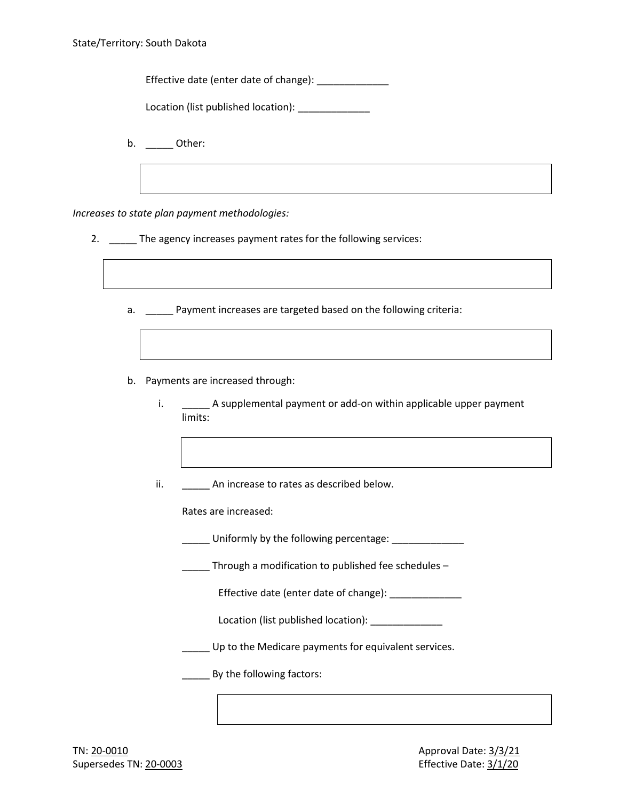Effective date (enter date of change): \_\_\_\_\_\_\_\_\_\_\_\_\_

Location (list published location): Location

b. Other:

*Increases to state plan payment methodologies:*

- 2. \_\_\_\_\_ The agency increases payment rates for the following services:
	- a. **Example 2** Payment increases are targeted based on the following criteria:
	- b. Payments are increased through:
		- i. \_\_\_\_\_\_ A supplemental payment or add-on within applicable upper payment limits:
		- ii. An increase to rates as described below.

Rates are increased:

- \_\_\_\_\_ Uniformly by the following percentage: \_\_\_\_\_\_\_\_\_\_\_\_\_
- Through a modification to published fee schedules  $-$

Effective date (enter date of change): \_\_\_\_\_\_\_\_\_\_\_\_\_

Location (list published location): \_\_\_\_\_\_\_\_\_\_\_\_\_\_

**\_\_\_\_\_** Up to the Medicare payments for equivalent services.

**\_\_\_\_\_\_** By the following factors: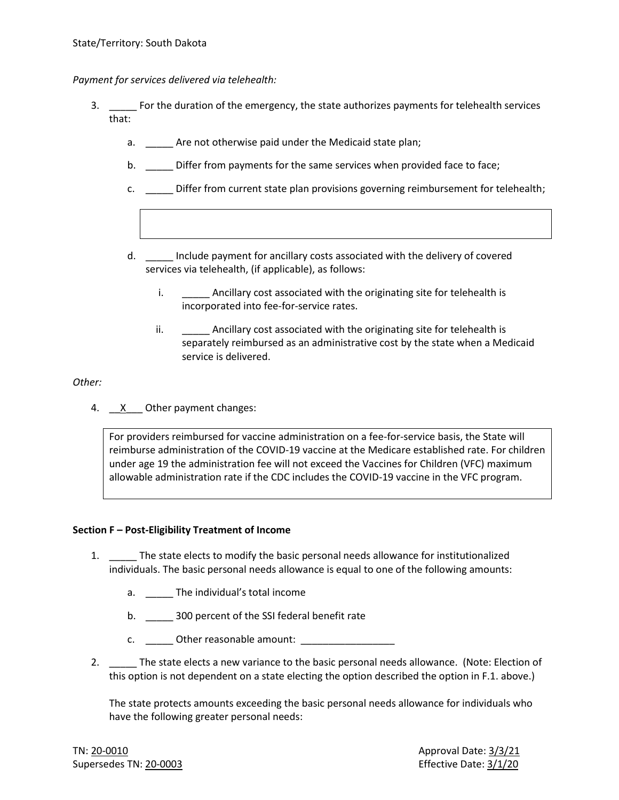*Payment for services delivered via telehealth:*

- 3. \_\_\_\_\_ For the duration of the emergency, the state authorizes payments for telehealth services that:
	- a. \_\_\_\_\_ Are not otherwise paid under the Medicaid state plan;
	- b. \_\_\_\_\_\_ Differ from payments for the same services when provided face to face;
	- c. \_\_\_\_\_ Differ from current state plan provisions governing reimbursement for telehealth;
	- d. \_\_\_\_\_ Include payment for ancillary costs associated with the delivery of covered services via telehealth, (if applicable), as follows:
		- i. \_\_\_\_\_\_\_\_ Ancillary cost associated with the originating site for telehealth is incorporated into fee-for-service rates.
		- ii. **Example 2** Ancillary cost associated with the originating site for telehealth is separately reimbursed as an administrative cost by the state when a Medicaid service is delivered.

*Other:*

4. X Other payment changes:

For providers reimbursed for vaccine administration on a fee-for-service basis, the State will reimburse administration of the COVID-19 vaccine at the Medicare established rate. For children under age 19 the administration fee will not exceed the Vaccines for Children (VFC) maximum allowable administration rate if the CDC includes the COVID-19 vaccine in the VFC program.

#### **Section F – Post-Eligibility Treatment of Income**

- 1. The state elects to modify the basic personal needs allowance for institutionalized individuals. The basic personal needs allowance is equal to one of the following amounts:
	- a. \_\_\_\_\_ The individual's total income
	- b. \_\_\_\_\_\_\_ 300 percent of the SSI federal benefit rate
	- c. Other reasonable amount:
- 2. \_\_\_\_\_ The state elects a new variance to the basic personal needs allowance. (Note: Election of this option is not dependent on a state electing the option described the option in F.1. above.)

The state protects amounts exceeding the basic personal needs allowance for individuals who have the following greater personal needs: